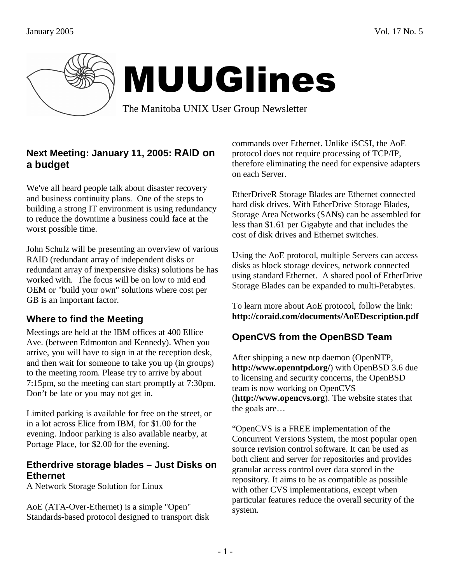

# MUUGlines

The Manitoba UNIX User Group Newsletter

# **Next Meeting: January 11, 2005: RAID on a budget**

We've all heard people talk about disaster recovery and business continuity plans. One of the steps to building a strong IT environment is using redundancy to reduce the downtime a business could face at the worst possible time.

John Schulz will be presenting an overview of various RAID (redundant array of independent disks or redundant array of inexpensive disks) solutions he has worked with. The focus will be on low to mid end OEM or "build your own" solutions where cost per GB is an important factor.

# **Where to find the Meeting**

Meetings are held at the IBM offices at 400 Ellice Ave. (between Edmonton and Kennedy). When you arrive, you will have to sign in at the reception desk, and then wait for someone to take you up (in groups) to the meeting room. Please try to arrive by about 7:15pm, so the meeting can start promptly at 7:30pm. Don't be late or you may not get in.

Limited parking is available for free on the street, or in a lot across Elice from IBM, for \$1.00 for the evening. Indoor parking is also available nearby, at Portage Place, for \$2.00 for the evening.

#### **Etherdrive storage blades – Just Disks on Ethernet**

A Network Storage Solution for Linux

AoE (ATA-Over-Ethernet) is a simple "Open" Standards-based protocol designed to transport disk commands over Ethernet. Unlike iSCSI, the AoE protocol does not require processing of TCP/IP, therefore eliminating the need for expensive adapters on each Server.

EtherDriveR Storage Blades are Ethernet connected hard disk drives. With EtherDrive Storage Blades, Storage Area Networks (SANs) can be assembled for less than \$1.61 per Gigabyte and that includes the cost of disk drives and Ethernet switches.

Using the AoE protocol, multiple Servers can access disks as block storage devices, network connected using standard Ethernet. A shared pool of EtherDrive Storage Blades can be expanded to multi-Petabytes.

To learn more about AoE protocol, follow the link: **http://coraid.com/documents/AoEDescription.pdf** 

# **OpenCVS from the OpenBSD Team**

After shipping a new ntp daemon (OpenNTP, **http://www.openntpd.org/**) with OpenBSD 3.6 due to licensing and security concerns, the OpenBSD team is now working on OpenCVS (**http://www.opencvs.org**). The website states that the goals are…

"OpenCVS is a FREE implementation of the Concurrent Versions System, the most popular open source revision control software. It can be used as both client and server for repositories and provides granular access control over data stored in the repository. It aims to be as compatible as possible with other CVS implementations, except when particular features reduce the overall security of the system.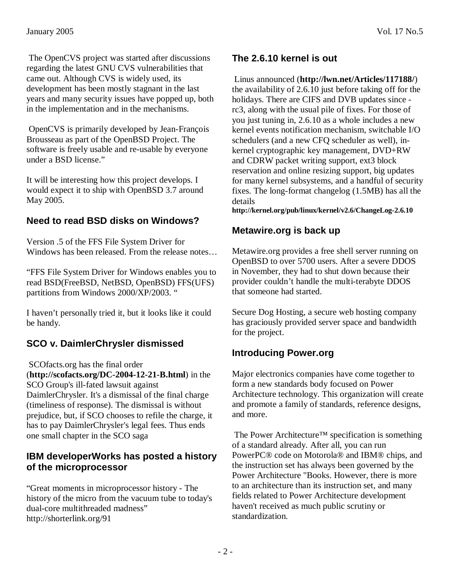The OpenCVS project was started after discussions regarding the latest GNU CVS vulnerabilities that came out. Although CVS is widely used, its development has been mostly stagnant in the last years and many security issues have popped up, both in the implementation and in the mechanisms.

 OpenCVS is primarily developed by Jean-François Brousseau as part of the OpenBSD Project. The software is freely usable and re-usable by everyone under a BSD license."

It will be interesting how this project develops. I would expect it to ship with OpenBSD 3.7 around May 2005.

# **Need to read BSD disks on Windows?**

Version .5 of the FFS File System Driver for Windows has been released. From the release notes…

"FFS File System Driver for Windows enables you to read BSD(FreeBSD, NetBSD, OpenBSD) FFS(UFS) partitions from Windows 2000/XP/2003. "

I haven't personally tried it, but it looks like it could be handy.

# **SCO v. DaimlerChrysler dismissed**

 SCOfacts.org has the final order (**http://scofacts.org/DC-2004-12-21-B.html**) in the SCO Group's ill-fated lawsuit against DaimlerChrysler. It's a dismissal of the final charge (timeliness of response). The dismissal is without prejudice, but, if SCO chooses to refile the charge, it has to pay DaimlerChrysler's legal fees. Thus ends one small chapter in the SCO saga

#### **IBM developerWorks has posted a history of the microprocessor**

"Great moments in microprocessor history - The history of the micro from the vacuum tube to today's dual-core multithreaded madness" http://shorterlink.org/91

# **The 2.6.10 kernel is out**

 Linus announced (**http://lwn.net/Articles/117188/**) the availability of 2.6.10 just before taking off for the holidays. There are CIFS and DVB updates since rc3, along with the usual pile of fixes. For those of you just tuning in, 2.6.10 as a whole includes a new kernel events notification mechanism, switchable I/O schedulers (and a new CFQ scheduler as well), inkernel cryptographic key management, DVD+RW and CDRW packet writing support, ext3 block reservation and online resizing support, big updates for many kernel subsystems, and a handful of security fixes. The long-format changelog (1.5MB) has all the details

**http://kernel.org/pub/linux/kernel/v2.6/ChangeLog-2.6.10**

## **Metawire.org is back up**

Metawire.org provides a free shell server running on OpenBSD to over 5700 users. After a severe DDOS in November, they had to shut down because their provider couldn't handle the multi-terabyte DDOS that someone had started.

Secure Dog Hosting, a secure web hosting company has graciously provided server space and bandwidth for the project.

## **Introducing Power.org**

Major electronics companies have come together to form a new standards body focused on Power Architecture technology. This organization will create and promote a family of standards, reference designs, and more.

 The Power Architecture™ specification is something of a standard already. After all, you can run PowerPC® code on Motorola® and IBM® chips, and the instruction set has always been governed by the Power Architecture "Books. However, there is more to an architecture than its instruction set, and many fields related to Power Architecture development haven't received as much public scrutiny or standardization.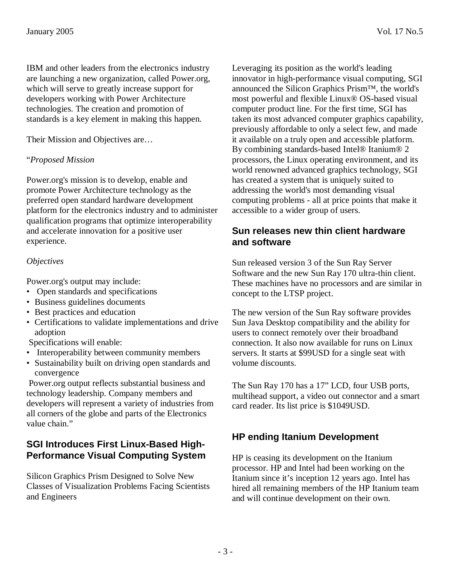IBM and other leaders from the electronics industry are launching a new organization, called Power.org, which will serve to greatly increase support for developers working with Power Architecture technologies. The creation and promotion of standards is a key element in making this happen.

Their Mission and Objectives are…

#### "*Proposed Mission*

Power.org's mission is to develop, enable and promote Power Architecture technology as the preferred open standard hardware development platform for the electronics industry and to administer qualification programs that optimize interoperability and accelerate innovation for a positive user experience.

#### *Objectives*

Power.org's output may include:

- Open standards and specifications
- Business guidelines documents
- Best practices and education
- Certifications to validate implementations and drive adoption

Specifications will enable:

- Interoperability between community members
- Sustainability built on driving open standards and convergence

 Power.org output reflects substantial business and technology leadership. Company members and developers will represent a variety of industries from all corners of the globe and parts of the Electronics value chain."

#### **SGI Introduces First Linux-Based High-Performance Visual Computing System**

Silicon Graphics Prism Designed to Solve New Classes of Visualization Problems Facing Scientists and Engineers

Leveraging its position as the world's leading innovator in high-performance visual computing, SGI announced the Silicon Graphics Prism™, the world's most powerful and flexible Linux® OS-based visual computer product line. For the first time, SGI has taken its most advanced computer graphics capability, previously affordable to only a select few, and made it available on a truly open and accessible platform. By combining standards-based Intel® Itanium® 2 processors, the Linux operating environment, and its world renowned advanced graphics technology, SGI has created a system that is uniquely suited to addressing the world's most demanding visual computing problems - all at price points that make it accessible to a wider group of users.

#### **Sun releases new thin client hardware and software**

Sun released version 3 of the Sun Ray Server Software and the new Sun Ray 170 ultra-thin client. These machines have no processors and are similar in concept to the LTSP project.

The new version of the Sun Ray software provides Sun Java Desktop compatibility and the ability for users to connect remotely over their broadband connection. It also now available for runs on Linux servers. It starts at \$99USD for a single seat with volume discounts.

The Sun Ray 170 has a 17" LCD, four USB ports, multihead support, a video out connector and a smart card reader. Its list price is \$1049USD.

#### **HP ending Itanium Development**

HP is ceasing its development on the Itanium processor. HP and Intel had been working on the Itanium since it's inception 12 years ago. Intel has hired all remaining members of the HP Itanium team and will continue development on their own.